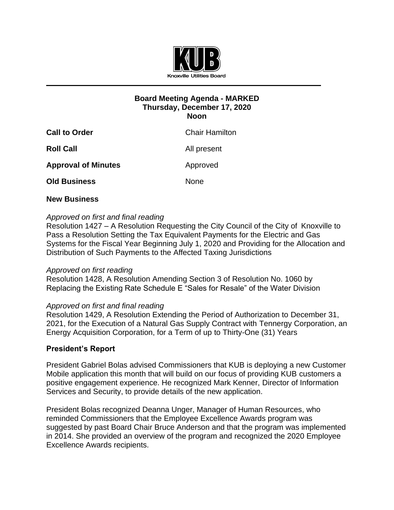

# **Board Meeting Agenda - MARKED Thursday, December 17, 2020 Noon**

| <b>Call to Order</b>       | <b>Chair Hamilton</b> |
|----------------------------|-----------------------|
| <b>Roll Call</b>           | All present           |
| <b>Approval of Minutes</b> | Approved              |
| <b>Old Business</b>        | <b>None</b>           |
|                            |                       |

## **New Business**

# *Approved on first and final reading*

Resolution 1427 – A Resolution Requesting the City Council of the City of Knoxville to Pass a Resolution Setting the Tax Equivalent Payments for the Electric and Gas Systems for the Fiscal Year Beginning July 1, 2020 and Providing for the Allocation and Distribution of Such Payments to the Affected Taxing Jurisdictions

## *Approved on first reading*

Resolution 1428, A Resolution Amending Section 3 of Resolution No. 1060 by Replacing the Existing Rate Schedule E "Sales for Resale" of the Water Division

## *Approved on first and final reading*

Resolution 1429, A Resolution Extending the Period of Authorization to December 31, 2021, for the Execution of a Natural Gas Supply Contract with Tennergy Corporation, an Energy Acquisition Corporation, for a Term of up to Thirty-One (31) Years

## **President's Report**

President Gabriel Bolas advised Commissioners that KUB is deploying a new Customer Mobile application this month that will build on our focus of providing KUB customers a positive engagement experience. He recognized Mark Kenner, Director of Information Services and Security, to provide details of the new application.

President Bolas recognized Deanna Unger, Manager of Human Resources, who reminded Commissioners that the Employee Excellence Awards program was suggested by past Board Chair Bruce Anderson and that the program was implemented in 2014. She provided an overview of the program and recognized the 2020 Employee Excellence Awards recipients.